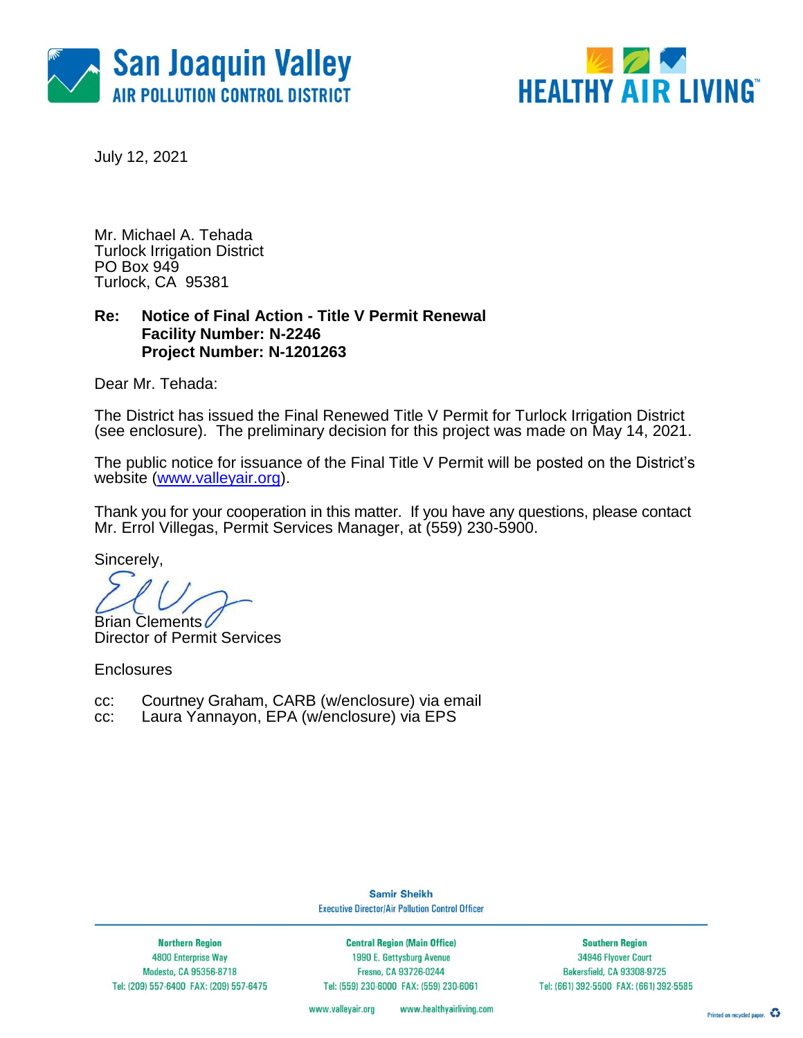



July 12, 2021

Mr. Michael A. Tehada Turlock Irrigation District PO Box 949 Turlock, CA 95381

### **Re: Notice of Final Action - Title V Permit Renewal Facility Number: N-2246 Project Number: N-1201263**

Dear Mr. Tehada:

The District has issued the Final Renewed Title V Permit for Turlock Irrigation District (see enclosure). The preliminary decision for this project was made on May 14, 2021.

The public notice for issuance of the Final Title V Permit will be posted on the District's website [\(www.valleyair.org\)](http://www.valleyair.org/).

Thank you for your cooperation in this matter. If you have any questions, please contact Mr. Errol Villegas, Permit Services Manager, at (559) 230-5900.

Sincerely,

**Brian Clements** 

Director of Permit Services

**Enclosures** 

- cc: Courtney Graham, CARB (w/enclosure) via email
- cc: Laura Yannayon, EPA (w/enclosure) via EPS

**Samir Sheikh Executive Director/Air Pollution Control Officer** 

**Northern Region** 4800 Enterprise Way Modesto, CA 95356-8718 Tel: (209) 557-6400 FAX: (209) 557-6475

**Central Region (Main Office)** 1990 E. Gettysburg Avenue Fresno, CA 93726-0244 Tel: (559) 230-6000 FAX: (559) 230-6061

**Southern Region** 34946 Flyover Court Bakersfield, CA 93308-9725 Tel: (661) 392-5500 FAX: (661) 392-5585

www.valleyair.org www.healthyairliving.com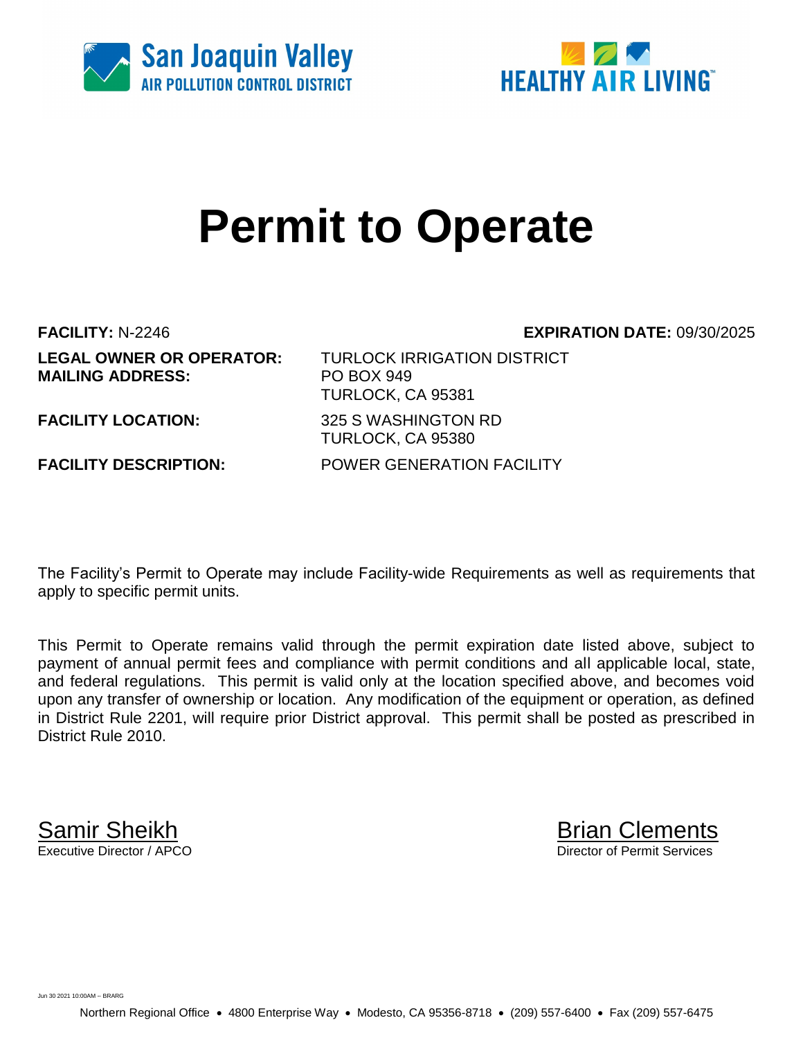



# **Permit to Operate**

**MAILING ADDRESS:** PO BOX 949

**FACILITY:** N-2246 **EXPIRATION DATE:** 09/30/2025

**LEGAL OWNER OR OPERATOR:** TURLOCK IRRIGATION DISTRICT TURLOCK, CA 95381 **FACILITY LOCATION:** 325 S WASHINGTON RD TURLOCK, CA 95380 **FACILITY DESCRIPTION:** POWER GENERATION FACILITY

The Facility's Permit to Operate may include Facility-wide Requirements as well as requirements that apply to specific permit units.

This Permit to Operate remains valid through the permit expiration date listed above, subject to payment of annual permit fees and compliance with permit conditions and all applicable local, state, and federal regulations. This permit is valid only at the location specified above, and becomes void upon any transfer of ownership or location. Any modification of the equipment or operation, as defined in District Rule 2201, will require prior District approval. This permit shall be posted as prescribed in District Rule 2010.

**Samir Sheikh**<br>Executive Director / APCO

Director of Permit Services

Jun 30 2021 10:00AM -- BRARG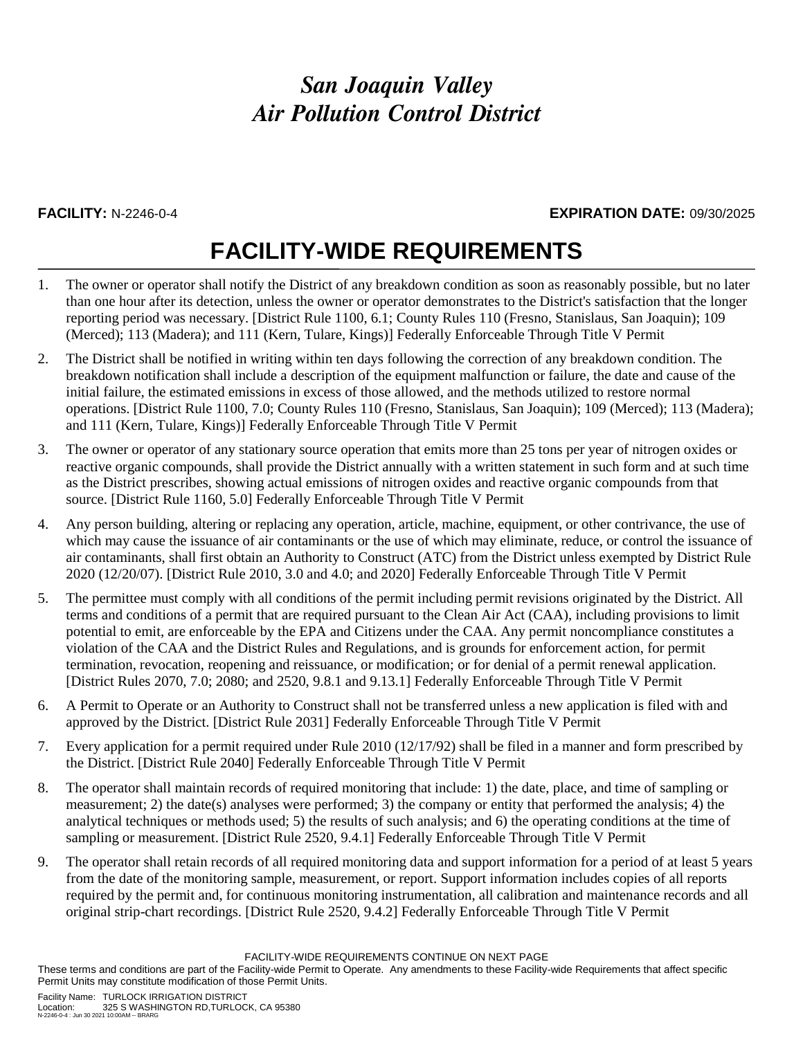### **FACILITY:** N-2246-0-4 **EXPIRATION DATE:** 09/30/2025

# **FACILITY-WIDE REQUIREMENTS**

- 1. The owner or operator shall notify the District of any breakdown condition as soon as reasonably possible, but no later than one hour after its detection, unless the owner or operator demonstrates to the District's satisfaction that the longer reporting period was necessary. [District Rule 1100, 6.1; County Rules 110 (Fresno, Stanislaus, San Joaquin); 109 (Merced); 113 (Madera); and 111 (Kern, Tulare, Kings)] Federally Enforceable Through Title V Permit
- 2. The District shall be notified in writing within ten days following the correction of any breakdown condition. The breakdown notification shall include a description of the equipment malfunction or failure, the date and cause of the initial failure, the estimated emissions in excess of those allowed, and the methods utilized to restore normal operations. [District Rule 1100, 7.0; County Rules 110 (Fresno, Stanislaus, San Joaquin); 109 (Merced); 113 (Madera); and 111 (Kern, Tulare, Kings)] Federally Enforceable Through Title V Permit
- 3. The owner or operator of any stationary source operation that emits more than 25 tons per year of nitrogen oxides or reactive organic compounds, shall provide the District annually with a written statement in such form and at such time as the District prescribes, showing actual emissions of nitrogen oxides and reactive organic compounds from that source. [District Rule 1160, 5.0] Federally Enforceable Through Title V Permit
- 4. Any person building, altering or replacing any operation, article, machine, equipment, or other contrivance, the use of which may cause the issuance of air contaminants or the use of which may eliminate, reduce, or control the issuance of air contaminants, shall first obtain an Authority to Construct (ATC) from the District unless exempted by District Rule 2020 (12/20/07). [District Rule 2010, 3.0 and 4.0; and 2020] Federally Enforceable Through Title V Permit
- 5. The permittee must comply with all conditions of the permit including permit revisions originated by the District. All terms and conditions of a permit that are required pursuant to the Clean Air Act (CAA), including provisions to limit potential to emit, are enforceable by the EPA and Citizens under the CAA. Any permit noncompliance constitutes a violation of the CAA and the District Rules and Regulations, and is grounds for enforcement action, for permit termination, revocation, reopening and reissuance, or modification; or for denial of a permit renewal application. [District Rules 2070, 7.0; 2080; and 2520, 9.8.1 and 9.13.1] Federally Enforceable Through Title V Permit
- 6. A Permit to Operate or an Authority to Construct shall not be transferred unless a new application is filed with and approved by the District. [District Rule 2031] Federally Enforceable Through Title V Permit
- 7. Every application for a permit required under Rule 2010 (12/17/92) shall be filed in a manner and form prescribed by the District. [District Rule 2040] Federally Enforceable Through Title V Permit
- 8. The operator shall maintain records of required monitoring that include: 1) the date, place, and time of sampling or measurement; 2) the date(s) analyses were performed; 3) the company or entity that performed the analysis; 4) the analytical techniques or methods used; 5) the results of such analysis; and 6) the operating conditions at the time of sampling or measurement. [District Rule 2520, 9.4.1] Federally Enforceable Through Title V Permit
- 9. The operator shall retain records of all required monitoring data and support information for a period of at least 5 years from the date of the monitoring sample, measurement, or report. Support information includes copies of all reports required by the permit and, for continuous monitoring instrumentation, all calibration and maintenance records and all original strip-chart recordings. [District Rule 2520, 9.4.2] Federally Enforceable Through Title V Permit

FACILITY-WIDE REQUIREMENTS CONTINUE ON NEXT PAGE

These terms and conditions are part of the Facility-wide Permit to Operate. Any amendments to these Facility-wide Requirements that affect specific Permit Units may constitute modification of those Permit Units.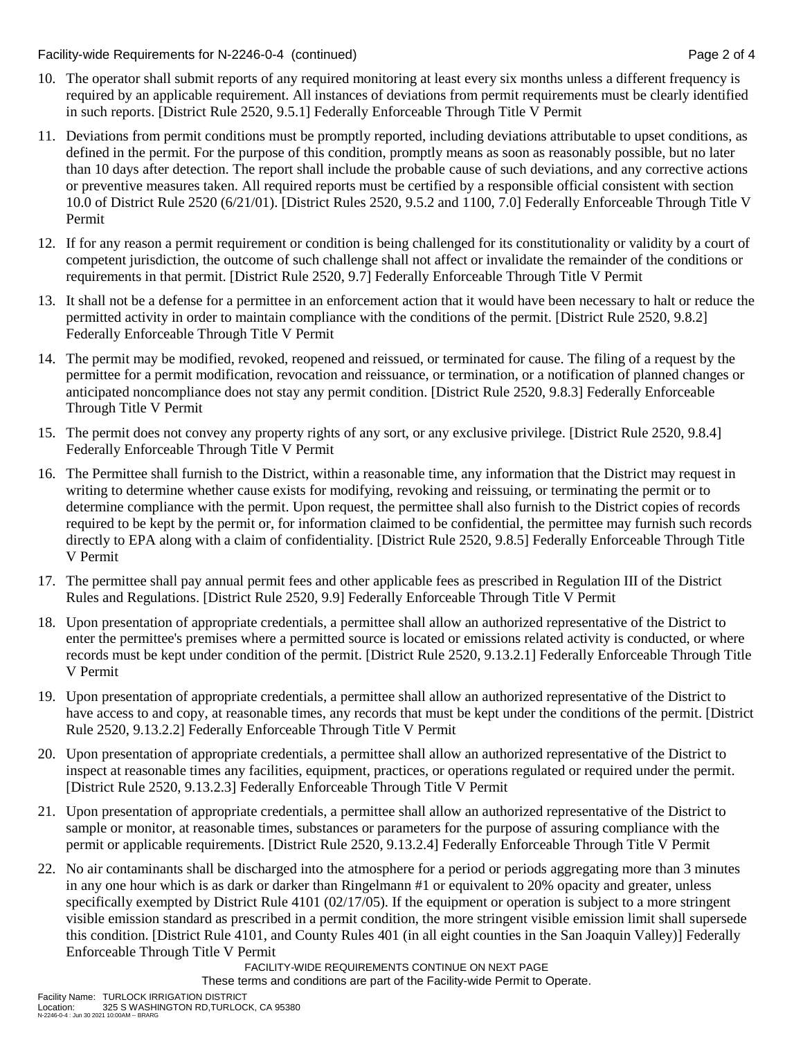Facility-wide Requirements for N-2246-0-4 (continued) Page 2 of 4

- 10. The operator shall submit reports of any required monitoring at least every six months unless a different frequency is required by an applicable requirement. All instances of deviations from permit requirements must be clearly identified in such reports. [District Rule 2520, 9.5.1] Federally Enforceable Through Title V Permit
- 11. Deviations from permit conditions must be promptly reported, including deviations attributable to upset conditions, as defined in the permit. For the purpose of this condition, promptly means as soon as reasonably possible, but no later than 10 days after detection. The report shall include the probable cause of such deviations, and any corrective actions or preventive measures taken. All required reports must be certified by a responsible official consistent with section 10.0 of District Rule 2520 (6/21/01). [District Rules 2520, 9.5.2 and 1100, 7.0] Federally Enforceable Through Title V Permit
- 12. If for any reason a permit requirement or condition is being challenged for its constitutionality or validity by a court of competent jurisdiction, the outcome of such challenge shall not affect or invalidate the remainder of the conditions or requirements in that permit. [District Rule 2520, 9.7] Federally Enforceable Through Title V Permit
- 13. It shall not be a defense for a permittee in an enforcement action that it would have been necessary to halt or reduce the permitted activity in order to maintain compliance with the conditions of the permit. [District Rule 2520, 9.8.2] Federally Enforceable Through Title V Permit
- 14. The permit may be modified, revoked, reopened and reissued, or terminated for cause. The filing of a request by the permittee for a permit modification, revocation and reissuance, or termination, or a notification of planned changes or anticipated noncompliance does not stay any permit condition. [District Rule 2520, 9.8.3] Federally Enforceable Through Title V Permit
- 15. The permit does not convey any property rights of any sort, or any exclusive privilege. [District Rule 2520, 9.8.4] Federally Enforceable Through Title V Permit
- 16. The Permittee shall furnish to the District, within a reasonable time, any information that the District may request in writing to determine whether cause exists for modifying, revoking and reissuing, or terminating the permit or to determine compliance with the permit. Upon request, the permittee shall also furnish to the District copies of records required to be kept by the permit or, for information claimed to be confidential, the permittee may furnish such records directly to EPA along with a claim of confidentiality. [District Rule 2520, 9.8.5] Federally Enforceable Through Title V Permit
- 17. The permittee shall pay annual permit fees and other applicable fees as prescribed in Regulation III of the District Rules and Regulations. [District Rule 2520, 9.9] Federally Enforceable Through Title V Permit
- 18. Upon presentation of appropriate credentials, a permittee shall allow an authorized representative of the District to enter the permittee's premises where a permitted source is located or emissions related activity is conducted, or where records must be kept under condition of the permit. [District Rule 2520, 9.13.2.1] Federally Enforceable Through Title V Permit
- 19. Upon presentation of appropriate credentials, a permittee shall allow an authorized representative of the District to have access to and copy, at reasonable times, any records that must be kept under the conditions of the permit. [District Rule 2520, 9.13.2.2] Federally Enforceable Through Title V Permit
- 20. Upon presentation of appropriate credentials, a permittee shall allow an authorized representative of the District to inspect at reasonable times any facilities, equipment, practices, or operations regulated or required under the permit. [District Rule 2520, 9.13.2.3] Federally Enforceable Through Title V Permit
- 21. Upon presentation of appropriate credentials, a permittee shall allow an authorized representative of the District to sample or monitor, at reasonable times, substances or parameters for the purpose of assuring compliance with the permit or applicable requirements. [District Rule 2520, 9.13.2.4] Federally Enforceable Through Title V Permit
- 22. No air contaminants shall be discharged into the atmosphere for a period or periods aggregating more than 3 minutes in any one hour which is as dark or darker than Ringelmann #1 or equivalent to 20% opacity and greater, unless specifically exempted by District Rule 4101 (02/17/05). If the equipment or operation is subject to a more stringent visible emission standard as prescribed in a permit condition, the more stringent visible emission limit shall supersede this condition. [District Rule 4101, and County Rules 401 (in all eight counties in the San Joaquin Valley)] Federally Enforceable Through Title V Permit

FACILITY-WIDE REQUIREMENTS CONTINUE ON NEXT PAGE

These terms and conditions are part of the Facility-wide Permit to Operate.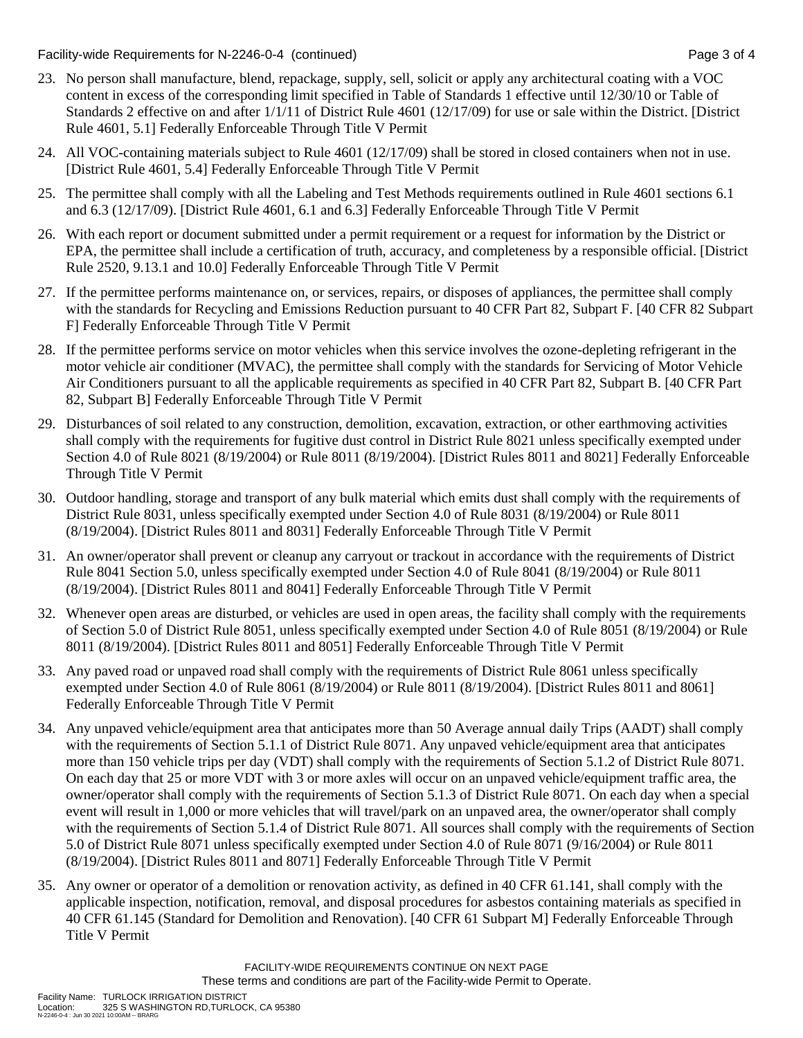Facility-wide Requirements for N-2246-0-4 (continued) Page 3 of 4

- 23. No person shall manufacture, blend, repackage, supply, sell, solicit or apply any architectural coating with a VOC content in excess of the corresponding limit specified in Table of Standards 1 effective until 12/30/10 or Table of Standards 2 effective on and after 1/1/11 of District Rule 4601 (12/17/09) for use or sale within the District. [District Rule 4601, 5.1] Federally Enforceable Through Title V Permit
- 24. All VOC-containing materials subject to Rule 4601 (12/17/09) shall be stored in closed containers when not in use. [District Rule 4601, 5.4] Federally Enforceable Through Title V Permit
- 25. The permittee shall comply with all the Labeling and Test Methods requirements outlined in Rule 4601 sections 6.1 and 6.3 (12/17/09). [District Rule 4601, 6.1 and 6.3] Federally Enforceable Through Title V Permit
- 26. With each report or document submitted under a permit requirement or a request for information by the District or EPA, the permittee shall include a certification of truth, accuracy, and completeness by a responsible official. [District Rule 2520, 9.13.1 and 10.0] Federally Enforceable Through Title V Permit
- 27. If the permittee performs maintenance on, or services, repairs, or disposes of appliances, the permittee shall comply with the standards for Recycling and Emissions Reduction pursuant to 40 CFR Part 82, Subpart F. [40 CFR 82 Subpart F] Federally Enforceable Through Title V Permit
- 28. If the permittee performs service on motor vehicles when this service involves the ozone-depleting refrigerant in the motor vehicle air conditioner (MVAC), the permittee shall comply with the standards for Servicing of Motor Vehicle Air Conditioners pursuant to all the applicable requirements as specified in 40 CFR Part 82, Subpart B. [40 CFR Part 82, Subpart B] Federally Enforceable Through Title V Permit
- 29. Disturbances of soil related to any construction, demolition, excavation, extraction, or other earthmoving activities shall comply with the requirements for fugitive dust control in District Rule 8021 unless specifically exempted under Section 4.0 of Rule 8021 (8/19/2004) or Rule 8011 (8/19/2004). [District Rules 8011 and 8021] Federally Enforceable Through Title V Permit
- 30. Outdoor handling, storage and transport of any bulk material which emits dust shall comply with the requirements of District Rule 8031, unless specifically exempted under Section 4.0 of Rule 8031 (8/19/2004) or Rule 8011 (8/19/2004). [District Rules 8011 and 8031] Federally Enforceable Through Title V Permit
- 31. An owner/operator shall prevent or cleanup any carryout or trackout in accordance with the requirements of District Rule 8041 Section 5.0, unless specifically exempted under Section 4.0 of Rule 8041 (8/19/2004) or Rule 8011 (8/19/2004). [District Rules 8011 and 8041] Federally Enforceable Through Title V Permit
- 32. Whenever open areas are disturbed, or vehicles are used in open areas, the facility shall comply with the requirements of Section 5.0 of District Rule 8051, unless specifically exempted under Section 4.0 of Rule 8051 (8/19/2004) or Rule 8011 (8/19/2004). [District Rules 8011 and 8051] Federally Enforceable Through Title V Permit
- 33. Any paved road or unpaved road shall comply with the requirements of District Rule 8061 unless specifically exempted under Section 4.0 of Rule 8061 (8/19/2004) or Rule 8011 (8/19/2004). [District Rules 8011 and 8061] Federally Enforceable Through Title V Permit
- 34. Any unpaved vehicle/equipment area that anticipates more than 50 Average annual daily Trips (AADT) shall comply with the requirements of Section 5.1.1 of District Rule 8071. Any unpaved vehicle/equipment area that anticipates more than 150 vehicle trips per day (VDT) shall comply with the requirements of Section 5.1.2 of District Rule 8071. On each day that 25 or more VDT with 3 or more axles will occur on an unpaved vehicle/equipment traffic area, the owner/operator shall comply with the requirements of Section 5.1.3 of District Rule 8071. On each day when a special event will result in 1,000 or more vehicles that will travel/park on an unpaved area, the owner/operator shall comply with the requirements of Section 5.1.4 of District Rule 8071. All sources shall comply with the requirements of Section 5.0 of District Rule 8071 unless specifically exempted under Section 4.0 of Rule 8071 (9/16/2004) or Rule 8011 (8/19/2004). [District Rules 8011 and 8071] Federally Enforceable Through Title V Permit
- 35. Any owner or operator of a demolition or renovation activity, as defined in 40 CFR 61.141, shall comply with the applicable inspection, notification, removal, and disposal procedures for asbestos containing materials as specified in 40 CFR 61.145 (Standard for Demolition and Renovation). [40 CFR 61 Subpart M] Federally Enforceable Through Title V Permit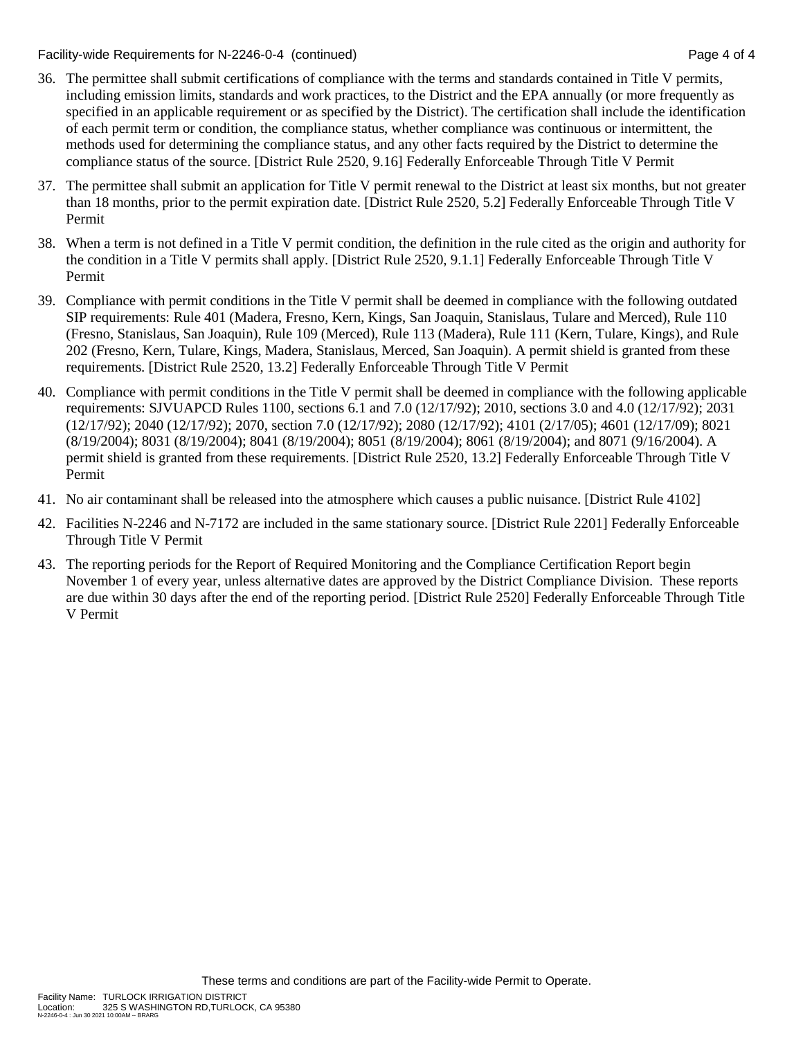Facility-wide Requirements for N-2246-0-4 (continued) Page 4 of 4

- 36. The permittee shall submit certifications of compliance with the terms and standards contained in Title V permits, including emission limits, standards and work practices, to the District and the EPA annually (or more frequently as specified in an applicable requirement or as specified by the District). The certification shall include the identification of each permit term or condition, the compliance status, whether compliance was continuous or intermittent, the methods used for determining the compliance status, and any other facts required by the District to determine the compliance status of the source. [District Rule 2520, 9.16] Federally Enforceable Through Title V Permit
- 37. The permittee shall submit an application for Title V permit renewal to the District at least six months, but not greater than 18 months, prior to the permit expiration date. [District Rule 2520, 5.2] Federally Enforceable Through Title V Permit
- 38. When a term is not defined in a Title V permit condition, the definition in the rule cited as the origin and authority for the condition in a Title V permits shall apply. [District Rule 2520, 9.1.1] Federally Enforceable Through Title V Permit
- 39. Compliance with permit conditions in the Title V permit shall be deemed in compliance with the following outdated SIP requirements: Rule 401 (Madera, Fresno, Kern, Kings, San Joaquin, Stanislaus, Tulare and Merced), Rule 110 (Fresno, Stanislaus, San Joaquin), Rule 109 (Merced), Rule 113 (Madera), Rule 111 (Kern, Tulare, Kings), and Rule 202 (Fresno, Kern, Tulare, Kings, Madera, Stanislaus, Merced, San Joaquin). A permit shield is granted from these requirements. [District Rule 2520, 13.2] Federally Enforceable Through Title V Permit
- 40. Compliance with permit conditions in the Title V permit shall be deemed in compliance with the following applicable requirements: SJVUAPCD Rules 1100, sections 6.1 and 7.0 (12/17/92); 2010, sections 3.0 and 4.0 (12/17/92); 2031 (12/17/92); 2040 (12/17/92); 2070, section 7.0 (12/17/92); 2080 (12/17/92); 4101 (2/17/05); 4601 (12/17/09); 8021 (8/19/2004); 8031 (8/19/2004); 8041 (8/19/2004); 8051 (8/19/2004); 8061 (8/19/2004); and 8071 (9/16/2004). A permit shield is granted from these requirements. [District Rule 2520, 13.2] Federally Enforceable Through Title V Permit
- 41. No air contaminant shall be released into the atmosphere which causes a public nuisance. [District Rule 4102]
- 42. Facilities N-2246 and N-7172 are included in the same stationary source. [District Rule 2201] Federally Enforceable Through Title V Permit
- 43. The reporting periods for the Report of Required Monitoring and the Compliance Certification Report begin November 1 of every year, unless alternative dates are approved by the District Compliance Division. These reports are due within 30 days after the end of the reporting period. [District Rule 2520] Federally Enforceable Through Title V Permit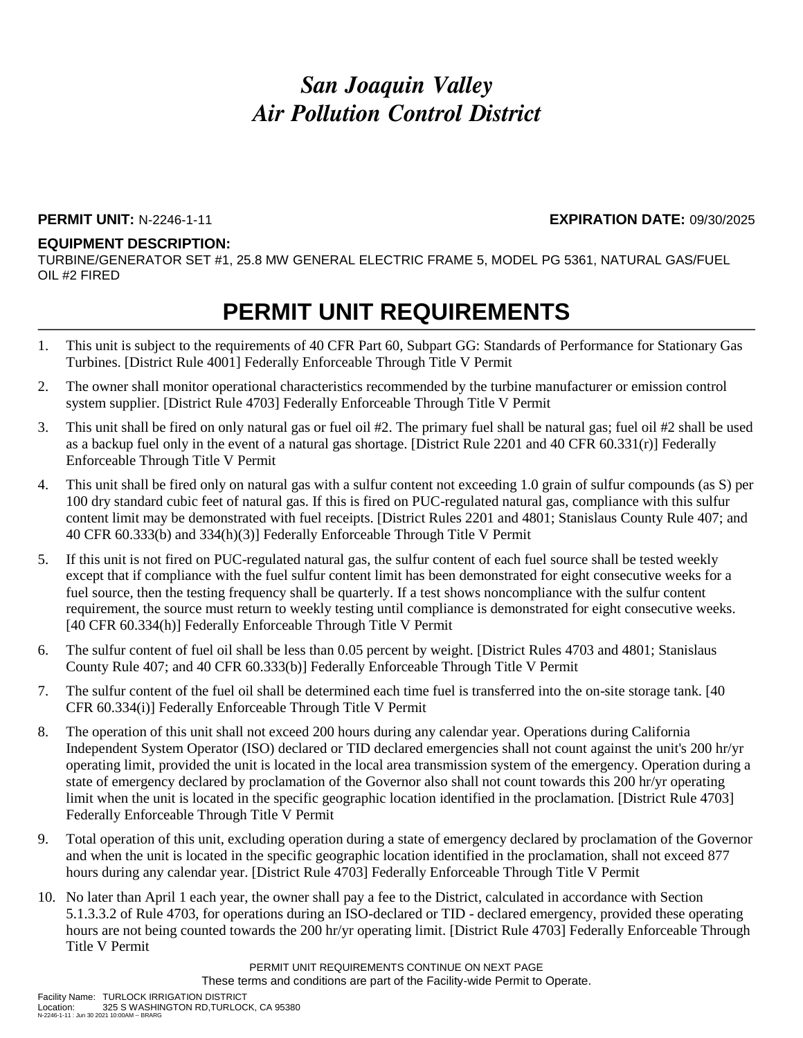#### **PERMIT UNIT:** N-2246-1-11 **EXPIRATION DATE:** 09/30/2025

#### **EQUIPMENT DESCRIPTION:**

TURBINE/GENERATOR SET #1, 25.8 MW GENERAL ELECTRIC FRAME 5, MODEL PG 5361, NATURAL GAS/FUEL OIL #2 FIRED

### **PERMIT UNIT REQUIREMENTS**

- 1. This unit is subject to the requirements of 40 CFR Part 60, Subpart GG: Standards of Performance for Stationary Gas Turbines. [District Rule 4001] Federally Enforceable Through Title V Permit
- 2. The owner shall monitor operational characteristics recommended by the turbine manufacturer or emission control system supplier. [District Rule 4703] Federally Enforceable Through Title V Permit
- 3. This unit shall be fired on only natural gas or fuel oil #2. The primary fuel shall be natural gas; fuel oil #2 shall be used as a backup fuel only in the event of a natural gas shortage. [District Rule 2201 and 40 CFR 60.331(r)] Federally Enforceable Through Title V Permit
- 4. This unit shall be fired only on natural gas with a sulfur content not exceeding 1.0 grain of sulfur compounds (as S) per 100 dry standard cubic feet of natural gas. If this is fired on PUC-regulated natural gas, compliance with this sulfur content limit may be demonstrated with fuel receipts. [District Rules 2201 and 4801; Stanislaus County Rule 407; and 40 CFR 60.333(b) and 334(h)(3)] Federally Enforceable Through Title V Permit
- 5. If this unit is not fired on PUC-regulated natural gas, the sulfur content of each fuel source shall be tested weekly except that if compliance with the fuel sulfur content limit has been demonstrated for eight consecutive weeks for a fuel source, then the testing frequency shall be quarterly. If a test shows noncompliance with the sulfur content requirement, the source must return to weekly testing until compliance is demonstrated for eight consecutive weeks. [40 CFR 60.334(h)] Federally Enforceable Through Title V Permit
- 6. The sulfur content of fuel oil shall be less than 0.05 percent by weight. [District Rules 4703 and 4801; Stanislaus County Rule 407; and 40 CFR 60.333(b)] Federally Enforceable Through Title V Permit
- 7. The sulfur content of the fuel oil shall be determined each time fuel is transferred into the on-site storage tank. [40 CFR 60.334(i)] Federally Enforceable Through Title V Permit
- 8. The operation of this unit shall not exceed 200 hours during any calendar year. Operations during California Independent System Operator (ISO) declared or TID declared emergencies shall not count against the unit's 200 hr/yr operating limit, provided the unit is located in the local area transmission system of the emergency. Operation during a state of emergency declared by proclamation of the Governor also shall not count towards this 200 hr/yr operating limit when the unit is located in the specific geographic location identified in the proclamation. [District Rule 4703] Federally Enforceable Through Title V Permit
- 9. Total operation of this unit, excluding operation during a state of emergency declared by proclamation of the Governor and when the unit is located in the specific geographic location identified in the proclamation, shall not exceed 877 hours during any calendar year. [District Rule 4703] Federally Enforceable Through Title V Permit
- 10. No later than April 1 each year, the owner shall pay a fee to the District, calculated in accordance with Section 5.1.3.3.2 of Rule 4703, for operations during an ISO-declared or TID - declared emergency, provided these operating hours are not being counted towards the 200 hr/yr operating limit. [District Rule 4703] Federally Enforceable Through Title V Permit

PERMIT UNIT REQUIREMENTS CONTINUE ON NEXT PAGE These terms and conditions are part of the Facility-wide Permit to Operate.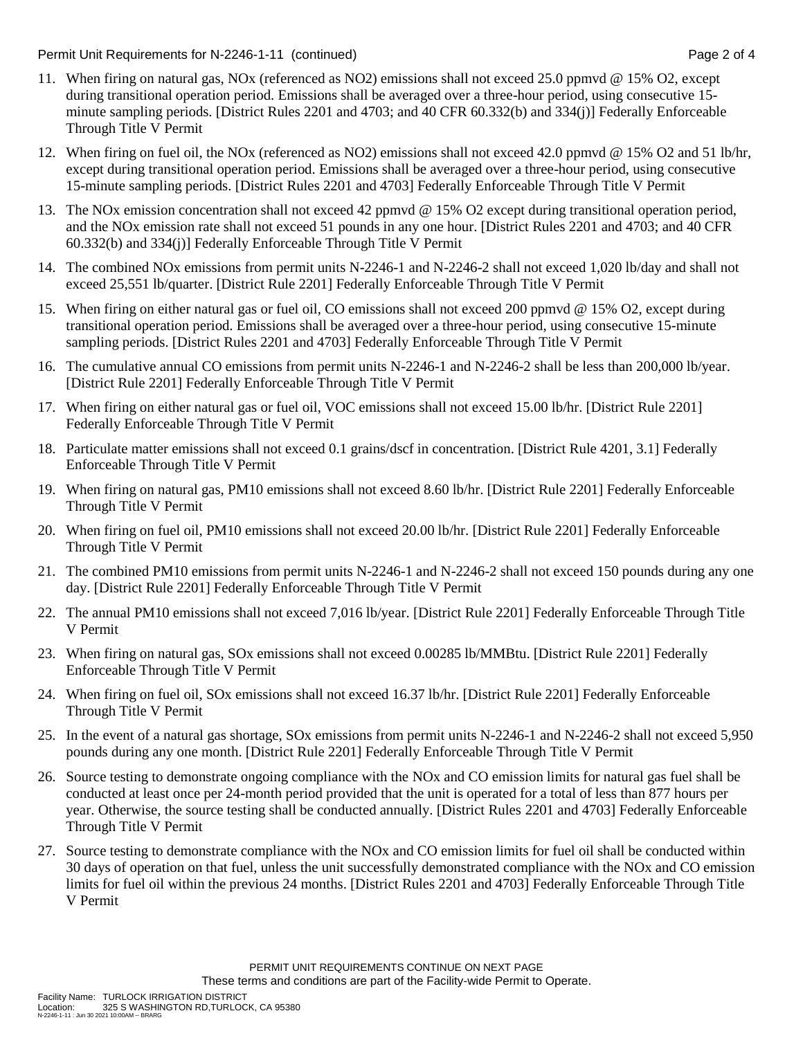Permit Unit Requirements for N-2246-1-11 (continued) example 2 of 4

- 11. When firing on natural gas, NOx (referenced as NO2) emissions shall not exceed 25.0 ppmvd @ 15% O2, except during transitional operation period. Emissions shall be averaged over a three-hour period, using consecutive 15 minute sampling periods. [District Rules 2201 and 4703; and 40 CFR 60.332(b) and 334(j)] Federally Enforceable Through Title V Permit
- 12. When firing on fuel oil, the NOx (referenced as NO2) emissions shall not exceed 42.0 ppmvd @ 15% O2 and 51 lb/hr, except during transitional operation period. Emissions shall be averaged over a three-hour period, using consecutive 15-minute sampling periods. [District Rules 2201 and 4703] Federally Enforceable Through Title V Permit
- 13. The NOx emission concentration shall not exceed 42 ppmvd @ 15% O2 except during transitional operation period, and the NOx emission rate shall not exceed 51 pounds in any one hour. [District Rules 2201 and 4703; and 40 CFR 60.332(b) and 334(j)] Federally Enforceable Through Title V Permit
- 14. The combined NOx emissions from permit units N-2246-1 and N-2246-2 shall not exceed 1,020 lb/day and shall not exceed 25,551 lb/quarter. [District Rule 2201] Federally Enforceable Through Title V Permit
- 15. When firing on either natural gas or fuel oil, CO emissions shall not exceed 200 ppmvd @ 15% O2, except during transitional operation period. Emissions shall be averaged over a three-hour period, using consecutive 15-minute sampling periods. [District Rules 2201 and 4703] Federally Enforceable Through Title V Permit
- 16. The cumulative annual CO emissions from permit units N-2246-1 and N-2246-2 shall be less than 200,000 lb/year. [District Rule 2201] Federally Enforceable Through Title V Permit
- 17. When firing on either natural gas or fuel oil, VOC emissions shall not exceed 15.00 lb/hr. [District Rule 2201] Federally Enforceable Through Title V Permit
- 18. Particulate matter emissions shall not exceed 0.1 grains/dscf in concentration. [District Rule 4201, 3.1] Federally Enforceable Through Title V Permit
- 19. When firing on natural gas, PM10 emissions shall not exceed 8.60 lb/hr. [District Rule 2201] Federally Enforceable Through Title V Permit
- 20. When firing on fuel oil, PM10 emissions shall not exceed 20.00 lb/hr. [District Rule 2201] Federally Enforceable Through Title V Permit
- 21. The combined PM10 emissions from permit units N-2246-1 and N-2246-2 shall not exceed 150 pounds during any one day. [District Rule 2201] Federally Enforceable Through Title V Permit
- 22. The annual PM10 emissions shall not exceed 7,016 lb/year. [District Rule 2201] Federally Enforceable Through Title V Permit
- 23. When firing on natural gas, SOx emissions shall not exceed 0.00285 lb/MMBtu. [District Rule 2201] Federally Enforceable Through Title V Permit
- 24. When firing on fuel oil, SOx emissions shall not exceed 16.37 lb/hr. [District Rule 2201] Federally Enforceable Through Title V Permit
- 25. In the event of a natural gas shortage, SOx emissions from permit units N-2246-1 and N-2246-2 shall not exceed 5,950 pounds during any one month. [District Rule 2201] Federally Enforceable Through Title V Permit
- 26. Source testing to demonstrate ongoing compliance with the NOx and CO emission limits for natural gas fuel shall be conducted at least once per 24-month period provided that the unit is operated for a total of less than 877 hours per year. Otherwise, the source testing shall be conducted annually. [District Rules 2201 and 4703] Federally Enforceable Through Title V Permit
- 27. Source testing to demonstrate compliance with the NOx and CO emission limits for fuel oil shall be conducted within 30 days of operation on that fuel, unless the unit successfully demonstrated compliance with the NOx and CO emission limits for fuel oil within the previous 24 months. [District Rules 2201 and 4703] Federally Enforceable Through Title V Permit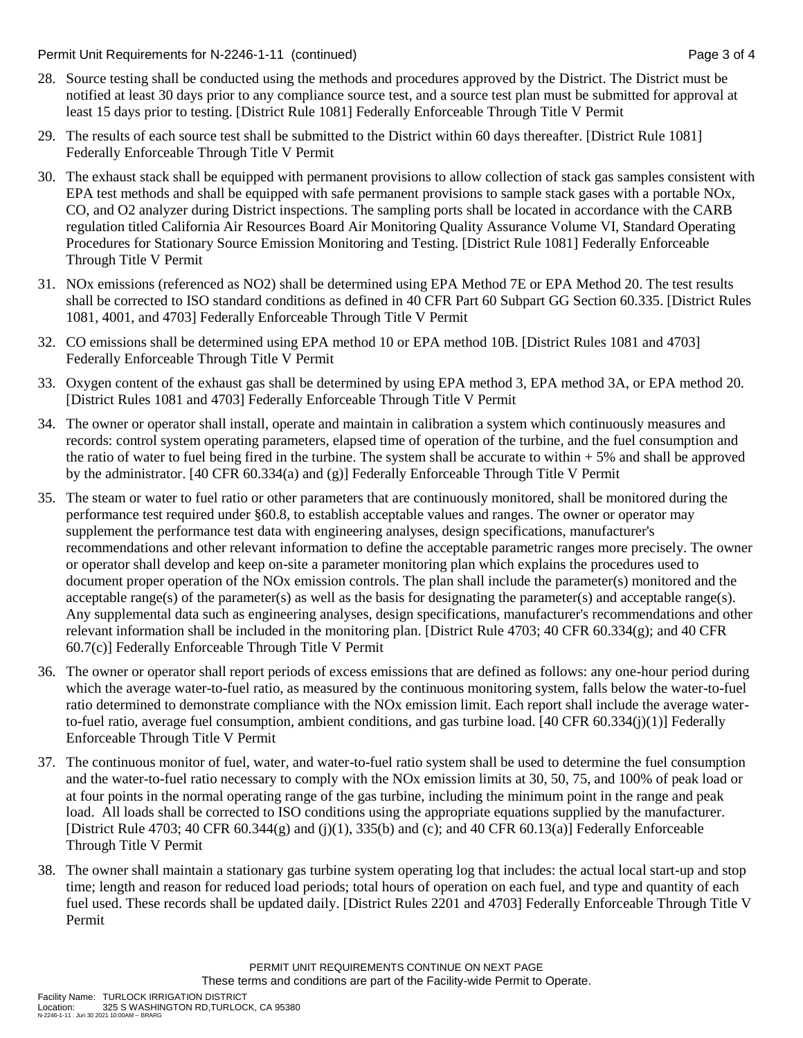Permit Unit Requirements for N-2246-1-11 (continued) example 2 and the state of the Page 3 of 4

- 28. Source testing shall be conducted using the methods and procedures approved by the District. The District must be notified at least 30 days prior to any compliance source test, and a source test plan must be submitted for approval at least 15 days prior to testing. [District Rule 1081] Federally Enforceable Through Title V Permit
- 29. The results of each source test shall be submitted to the District within 60 days thereafter. [District Rule 1081] Federally Enforceable Through Title V Permit
- 30. The exhaust stack shall be equipped with permanent provisions to allow collection of stack gas samples consistent with EPA test methods and shall be equipped with safe permanent provisions to sample stack gases with a portable NOx, CO, and O2 analyzer during District inspections. The sampling ports shall be located in accordance with the CARB regulation titled California Air Resources Board Air Monitoring Quality Assurance Volume VI, Standard Operating Procedures for Stationary Source Emission Monitoring and Testing. [District Rule 1081] Federally Enforceable Through Title V Permit
- 31. NOx emissions (referenced as NO2) shall be determined using EPA Method 7E or EPA Method 20. The test results shall be corrected to ISO standard conditions as defined in 40 CFR Part 60 Subpart GG Section 60.335. [District Rules 1081, 4001, and 4703] Federally Enforceable Through Title V Permit
- 32. CO emissions shall be determined using EPA method 10 or EPA method 10B. [District Rules 1081 and 4703] Federally Enforceable Through Title V Permit
- 33. Oxygen content of the exhaust gas shall be determined by using EPA method 3, EPA method 3A, or EPA method 20. [District Rules 1081 and 4703] Federally Enforceable Through Title V Permit
- 34. The owner or operator shall install, operate and maintain in calibration a system which continuously measures and records: control system operating parameters, elapsed time of operation of the turbine, and the fuel consumption and the ratio of water to fuel being fired in the turbine. The system shall be accurate to within  $+ 5\%$  and shall be approved by the administrator. [40 CFR 60.334(a) and (g)] Federally Enforceable Through Title V Permit
- 35. The steam or water to fuel ratio or other parameters that are continuously monitored, shall be monitored during the performance test required under §60.8, to establish acceptable values and ranges. The owner or operator may supplement the performance test data with engineering analyses, design specifications, manufacturer's recommendations and other relevant information to define the acceptable parametric ranges more precisely. The owner or operator shall develop and keep on-site a parameter monitoring plan which explains the procedures used to document proper operation of the NOx emission controls. The plan shall include the parameter(s) monitored and the acceptable range(s) of the parameter(s) as well as the basis for designating the parameter(s) and acceptable range(s). Any supplemental data such as engineering analyses, design specifications, manufacturer's recommendations and other relevant information shall be included in the monitoring plan. [District Rule 4703; 40 CFR 60.334(g); and 40 CFR 60.7(c)] Federally Enforceable Through Title V Permit
- 36. The owner or operator shall report periods of excess emissions that are defined as follows: any one-hour period during which the average water-to-fuel ratio, as measured by the continuous monitoring system, falls below the water-to-fuel ratio determined to demonstrate compliance with the NOx emission limit. Each report shall include the average waterto-fuel ratio, average fuel consumption, ambient conditions, and gas turbine load. [40 CFR 60.334(j)(1)] Federally Enforceable Through Title V Permit
- 37. The continuous monitor of fuel, water, and water-to-fuel ratio system shall be used to determine the fuel consumption and the water-to-fuel ratio necessary to comply with the NOx emission limits at 30, 50, 75, and 100% of peak load or at four points in the normal operating range of the gas turbine, including the minimum point in the range and peak load. All loads shall be corrected to ISO conditions using the appropriate equations supplied by the manufacturer. [District Rule 4703; 40 CFR 60.344(g) and (j)(1), 335(b) and (c); and 40 CFR 60.13(a)] Federally Enforceable Through Title V Permit
- 38. The owner shall maintain a stationary gas turbine system operating log that includes: the actual local start-up and stop time; length and reason for reduced load periods; total hours of operation on each fuel, and type and quantity of each fuel used. These records shall be updated daily. [District Rules 2201 and 4703] Federally Enforceable Through Title V Permit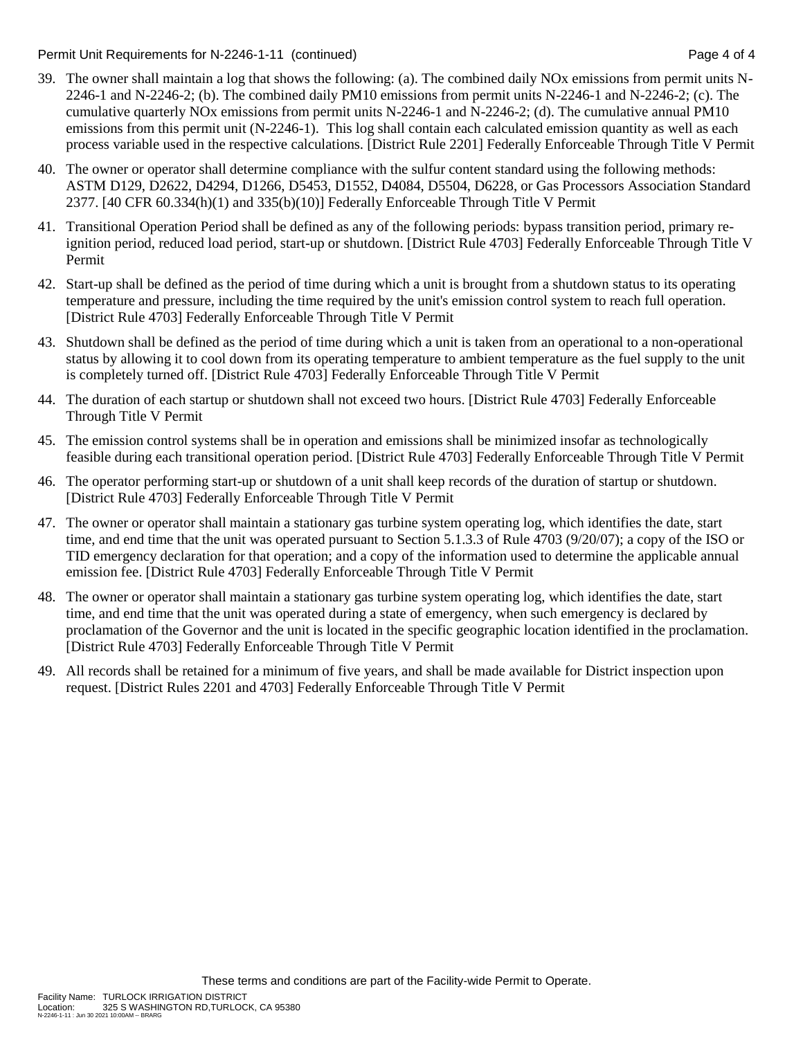Permit Unit Requirements for N-2246-1-11 (continued) example 2 and the example of 4 of 4

- 39. The owner shall maintain a log that shows the following: (a). The combined daily NOx emissions from permit units N-2246-1 and N-2246-2; (b). The combined daily PM10 emissions from permit units N-2246-1 and N-2246-2; (c). The cumulative quarterly NOx emissions from permit units N-2246-1 and N-2246-2; (d). The cumulative annual PM10 emissions from this permit unit (N-2246-1). This log shall contain each calculated emission quantity as well as each process variable used in the respective calculations. [District Rule 2201] Federally Enforceable Through Title V Permit
- 40. The owner or operator shall determine compliance with the sulfur content standard using the following methods: ASTM D129, D2622, D4294, D1266, D5453, D1552, D4084, D5504, D6228, or Gas Processors Association Standard 2377. [40 CFR 60.334(h)(1) and 335(b)(10)] Federally Enforceable Through Title V Permit
- 41. Transitional Operation Period shall be defined as any of the following periods: bypass transition period, primary reignition period, reduced load period, start-up or shutdown. [District Rule 4703] Federally Enforceable Through Title V Permit
- 42. Start-up shall be defined as the period of time during which a unit is brought from a shutdown status to its operating temperature and pressure, including the time required by the unit's emission control system to reach full operation. [District Rule 4703] Federally Enforceable Through Title V Permit
- 43. Shutdown shall be defined as the period of time during which a unit is taken from an operational to a non-operational status by allowing it to cool down from its operating temperature to ambient temperature as the fuel supply to the unit is completely turned off. [District Rule 4703] Federally Enforceable Through Title V Permit
- 44. The duration of each startup or shutdown shall not exceed two hours. [District Rule 4703] Federally Enforceable Through Title V Permit
- 45. The emission control systems shall be in operation and emissions shall be minimized insofar as technologically feasible during each transitional operation period. [District Rule 4703] Federally Enforceable Through Title V Permit
- 46. The operator performing start-up or shutdown of a unit shall keep records of the duration of startup or shutdown. [District Rule 4703] Federally Enforceable Through Title V Permit
- 47. The owner or operator shall maintain a stationary gas turbine system operating log, which identifies the date, start time, and end time that the unit was operated pursuant to Section 5.1.3.3 of Rule 4703 (9/20/07); a copy of the ISO or TID emergency declaration for that operation; and a copy of the information used to determine the applicable annual emission fee. [District Rule 4703] Federally Enforceable Through Title V Permit
- 48. The owner or operator shall maintain a stationary gas turbine system operating log, which identifies the date, start time, and end time that the unit was operated during a state of emergency, when such emergency is declared by proclamation of the Governor and the unit is located in the specific geographic location identified in the proclamation. [District Rule 4703] Federally Enforceable Through Title V Permit
- 49. All records shall be retained for a minimum of five years, and shall be made available for District inspection upon request. [District Rules 2201 and 4703] Federally Enforceable Through Title V Permit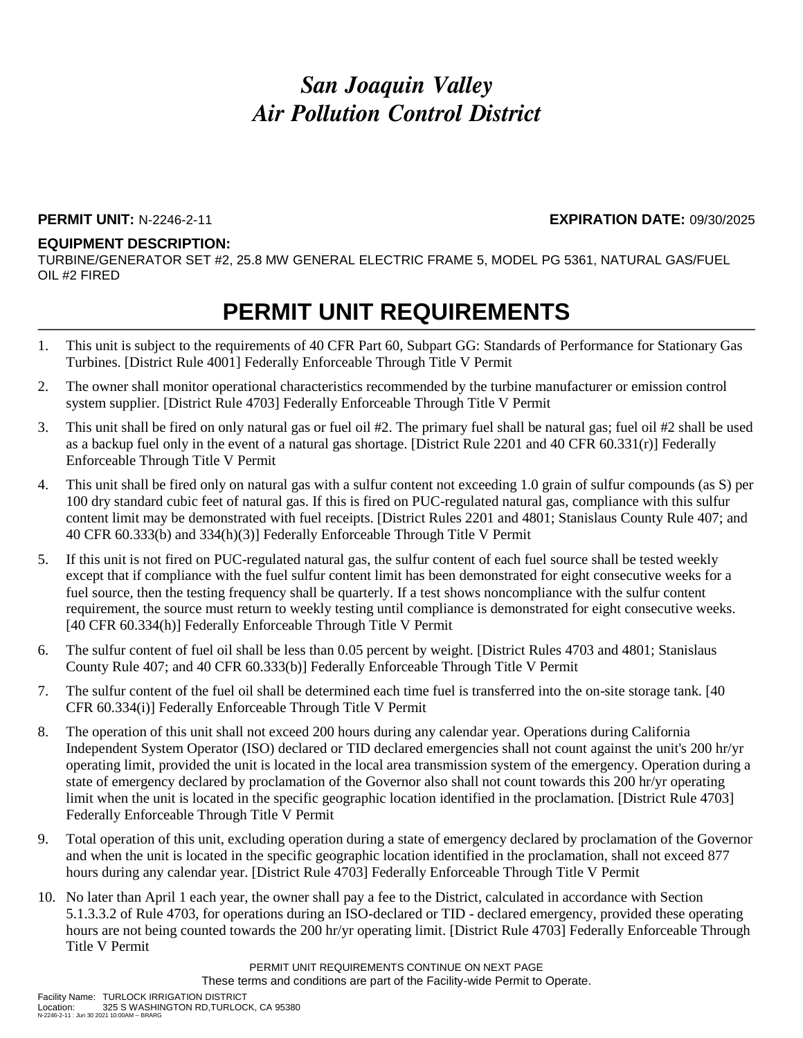#### **PERMIT UNIT:** N-2246-2-11 **EXPIRATION DATE:** 09/30/2025

#### **EQUIPMENT DESCRIPTION:**

TURBINE/GENERATOR SET #2, 25.8 MW GENERAL ELECTRIC FRAME 5, MODEL PG 5361, NATURAL GAS/FUEL OIL #2 FIRED

### **PERMIT UNIT REQUIREMENTS**

- 1. This unit is subject to the requirements of 40 CFR Part 60, Subpart GG: Standards of Performance for Stationary Gas Turbines. [District Rule 4001] Federally Enforceable Through Title V Permit
- 2. The owner shall monitor operational characteristics recommended by the turbine manufacturer or emission control system supplier. [District Rule 4703] Federally Enforceable Through Title V Permit
- 3. This unit shall be fired on only natural gas or fuel oil #2. The primary fuel shall be natural gas; fuel oil #2 shall be used as a backup fuel only in the event of a natural gas shortage. [District Rule 2201 and 40 CFR 60.331(r)] Federally Enforceable Through Title V Permit
- 4. This unit shall be fired only on natural gas with a sulfur content not exceeding 1.0 grain of sulfur compounds (as S) per 100 dry standard cubic feet of natural gas. If this is fired on PUC-regulated natural gas, compliance with this sulfur content limit may be demonstrated with fuel receipts. [District Rules 2201 and 4801; Stanislaus County Rule 407; and 40 CFR 60.333(b) and 334(h)(3)] Federally Enforceable Through Title V Permit
- 5. If this unit is not fired on PUC-regulated natural gas, the sulfur content of each fuel source shall be tested weekly except that if compliance with the fuel sulfur content limit has been demonstrated for eight consecutive weeks for a fuel source, then the testing frequency shall be quarterly. If a test shows noncompliance with the sulfur content requirement, the source must return to weekly testing until compliance is demonstrated for eight consecutive weeks. [40 CFR 60.334(h)] Federally Enforceable Through Title V Permit
- 6. The sulfur content of fuel oil shall be less than 0.05 percent by weight. [District Rules 4703 and 4801; Stanislaus County Rule 407; and 40 CFR 60.333(b)] Federally Enforceable Through Title V Permit
- 7. The sulfur content of the fuel oil shall be determined each time fuel is transferred into the on-site storage tank. [40 CFR 60.334(i)] Federally Enforceable Through Title V Permit
- 8. The operation of this unit shall not exceed 200 hours during any calendar year. Operations during California Independent System Operator (ISO) declared or TID declared emergencies shall not count against the unit's 200 hr/yr operating limit, provided the unit is located in the local area transmission system of the emergency. Operation during a state of emergency declared by proclamation of the Governor also shall not count towards this 200 hr/yr operating limit when the unit is located in the specific geographic location identified in the proclamation. [District Rule 4703] Federally Enforceable Through Title V Permit
- 9. Total operation of this unit, excluding operation during a state of emergency declared by proclamation of the Governor and when the unit is located in the specific geographic location identified in the proclamation, shall not exceed 877 hours during any calendar year. [District Rule 4703] Federally Enforceable Through Title V Permit
- 10. No later than April 1 each year, the owner shall pay a fee to the District, calculated in accordance with Section 5.1.3.3.2 of Rule 4703, for operations during an ISO-declared or TID - declared emergency, provided these operating hours are not being counted towards the 200 hr/yr operating limit. [District Rule 4703] Federally Enforceable Through Title V Permit

PERMIT UNIT REQUIREMENTS CONTINUE ON NEXT PAGE These terms and conditions are part of the Facility-wide Permit to Operate.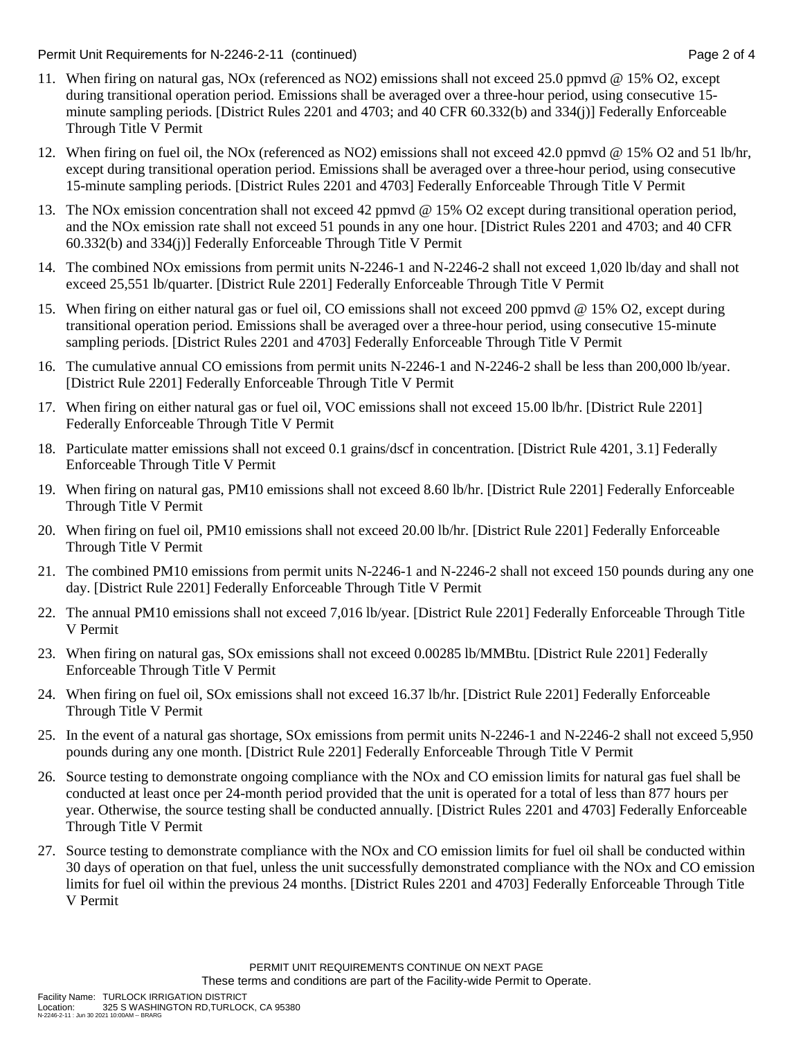Permit Unit Requirements for N-2246-2-11 (continued) example 2 of 4

- 11. When firing on natural gas, NOx (referenced as NO2) emissions shall not exceed 25.0 ppmvd @ 15% O2, except during transitional operation period. Emissions shall be averaged over a three-hour period, using consecutive 15 minute sampling periods. [District Rules 2201 and 4703; and 40 CFR 60.332(b) and 334(j)] Federally Enforceable Through Title V Permit
- 12. When firing on fuel oil, the NOx (referenced as NO2) emissions shall not exceed 42.0 ppmvd @ 15% O2 and 51 lb/hr, except during transitional operation period. Emissions shall be averaged over a three-hour period, using consecutive 15-minute sampling periods. [District Rules 2201 and 4703] Federally Enforceable Through Title V Permit
- 13. The NOx emission concentration shall not exceed 42 ppmvd @ 15% O2 except during transitional operation period, and the NOx emission rate shall not exceed 51 pounds in any one hour. [District Rules 2201 and 4703; and 40 CFR 60.332(b) and 334(j)] Federally Enforceable Through Title V Permit
- 14. The combined NOx emissions from permit units N-2246-1 and N-2246-2 shall not exceed 1,020 lb/day and shall not exceed 25,551 lb/quarter. [District Rule 2201] Federally Enforceable Through Title V Permit
- 15. When firing on either natural gas or fuel oil, CO emissions shall not exceed 200 ppmvd @ 15% O2, except during transitional operation period. Emissions shall be averaged over a three-hour period, using consecutive 15-minute sampling periods. [District Rules 2201 and 4703] Federally Enforceable Through Title V Permit
- 16. The cumulative annual CO emissions from permit units N-2246-1 and N-2246-2 shall be less than 200,000 lb/year. [District Rule 2201] Federally Enforceable Through Title V Permit
- 17. When firing on either natural gas or fuel oil, VOC emissions shall not exceed 15.00 lb/hr. [District Rule 2201] Federally Enforceable Through Title V Permit
- 18. Particulate matter emissions shall not exceed 0.1 grains/dscf in concentration. [District Rule 4201, 3.1] Federally Enforceable Through Title V Permit
- 19. When firing on natural gas, PM10 emissions shall not exceed 8.60 lb/hr. [District Rule 2201] Federally Enforceable Through Title V Permit
- 20. When firing on fuel oil, PM10 emissions shall not exceed 20.00 lb/hr. [District Rule 2201] Federally Enforceable Through Title V Permit
- 21. The combined PM10 emissions from permit units N-2246-1 and N-2246-2 shall not exceed 150 pounds during any one day. [District Rule 2201] Federally Enforceable Through Title V Permit
- 22. The annual PM10 emissions shall not exceed 7,016 lb/year. [District Rule 2201] Federally Enforceable Through Title V Permit
- 23. When firing on natural gas, SOx emissions shall not exceed 0.00285 lb/MMBtu. [District Rule 2201] Federally Enforceable Through Title V Permit
- 24. When firing on fuel oil, SOx emissions shall not exceed 16.37 lb/hr. [District Rule 2201] Federally Enforceable Through Title V Permit
- 25. In the event of a natural gas shortage, SOx emissions from permit units N-2246-1 and N-2246-2 shall not exceed 5,950 pounds during any one month. [District Rule 2201] Federally Enforceable Through Title V Permit
- 26. Source testing to demonstrate ongoing compliance with the NOx and CO emission limits for natural gas fuel shall be conducted at least once per 24-month period provided that the unit is operated for a total of less than 877 hours per year. Otherwise, the source testing shall be conducted annually. [District Rules 2201 and 4703] Federally Enforceable Through Title V Permit
- 27. Source testing to demonstrate compliance with the NOx and CO emission limits for fuel oil shall be conducted within 30 days of operation on that fuel, unless the unit successfully demonstrated compliance with the NOx and CO emission limits for fuel oil within the previous 24 months. [District Rules 2201 and 4703] Federally Enforceable Through Title V Permit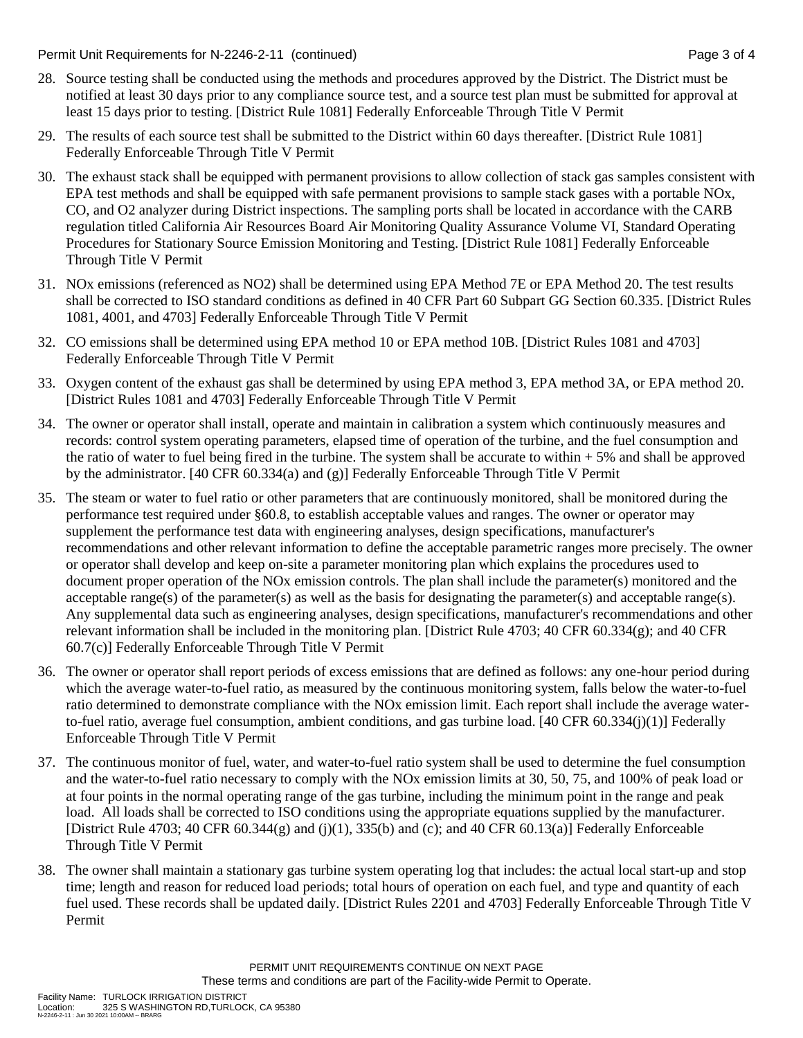Permit Unit Requirements for N-2246-2-11 (continued) example 3 of 4

- 28. Source testing shall be conducted using the methods and procedures approved by the District. The District must be notified at least 30 days prior to any compliance source test, and a source test plan must be submitted for approval at least 15 days prior to testing. [District Rule 1081] Federally Enforceable Through Title V Permit
- 29. The results of each source test shall be submitted to the District within 60 days thereafter. [District Rule 1081] Federally Enforceable Through Title V Permit
- 30. The exhaust stack shall be equipped with permanent provisions to allow collection of stack gas samples consistent with EPA test methods and shall be equipped with safe permanent provisions to sample stack gases with a portable NOx, CO, and O2 analyzer during District inspections. The sampling ports shall be located in accordance with the CARB regulation titled California Air Resources Board Air Monitoring Quality Assurance Volume VI, Standard Operating Procedures for Stationary Source Emission Monitoring and Testing. [District Rule 1081] Federally Enforceable Through Title V Permit
- 31. NOx emissions (referenced as NO2) shall be determined using EPA Method 7E or EPA Method 20. The test results shall be corrected to ISO standard conditions as defined in 40 CFR Part 60 Subpart GG Section 60.335. [District Rules 1081, 4001, and 4703] Federally Enforceable Through Title V Permit
- 32. CO emissions shall be determined using EPA method 10 or EPA method 10B. [District Rules 1081 and 4703] Federally Enforceable Through Title V Permit
- 33. Oxygen content of the exhaust gas shall be determined by using EPA method 3, EPA method 3A, or EPA method 20. [District Rules 1081 and 4703] Federally Enforceable Through Title V Permit
- 34. The owner or operator shall install, operate and maintain in calibration a system which continuously measures and records: control system operating parameters, elapsed time of operation of the turbine, and the fuel consumption and the ratio of water to fuel being fired in the turbine. The system shall be accurate to within  $+ 5\%$  and shall be approved by the administrator. [40 CFR 60.334(a) and (g)] Federally Enforceable Through Title V Permit
- 35. The steam or water to fuel ratio or other parameters that are continuously monitored, shall be monitored during the performance test required under §60.8, to establish acceptable values and ranges. The owner or operator may supplement the performance test data with engineering analyses, design specifications, manufacturer's recommendations and other relevant information to define the acceptable parametric ranges more precisely. The owner or operator shall develop and keep on-site a parameter monitoring plan which explains the procedures used to document proper operation of the NOx emission controls. The plan shall include the parameter(s) monitored and the acceptable range(s) of the parameter(s) as well as the basis for designating the parameter(s) and acceptable range(s). Any supplemental data such as engineering analyses, design specifications, manufacturer's recommendations and other relevant information shall be included in the monitoring plan. [District Rule 4703; 40 CFR 60.334(g); and 40 CFR 60.7(c)] Federally Enforceable Through Title V Permit
- 36. The owner or operator shall report periods of excess emissions that are defined as follows: any one-hour period during which the average water-to-fuel ratio, as measured by the continuous monitoring system, falls below the water-to-fuel ratio determined to demonstrate compliance with the NOx emission limit. Each report shall include the average waterto-fuel ratio, average fuel consumption, ambient conditions, and gas turbine load. [40 CFR 60.334(j)(1)] Federally Enforceable Through Title V Permit
- 37. The continuous monitor of fuel, water, and water-to-fuel ratio system shall be used to determine the fuel consumption and the water-to-fuel ratio necessary to comply with the NOx emission limits at 30, 50, 75, and 100% of peak load or at four points in the normal operating range of the gas turbine, including the minimum point in the range and peak load. All loads shall be corrected to ISO conditions using the appropriate equations supplied by the manufacturer. [District Rule 4703; 40 CFR 60.344(g) and (j)(1), 335(b) and (c); and 40 CFR 60.13(a)] Federally Enforceable Through Title V Permit
- 38. The owner shall maintain a stationary gas turbine system operating log that includes: the actual local start-up and stop time; length and reason for reduced load periods; total hours of operation on each fuel, and type and quantity of each fuel used. These records shall be updated daily. [District Rules 2201 and 4703] Federally Enforceable Through Title V Permit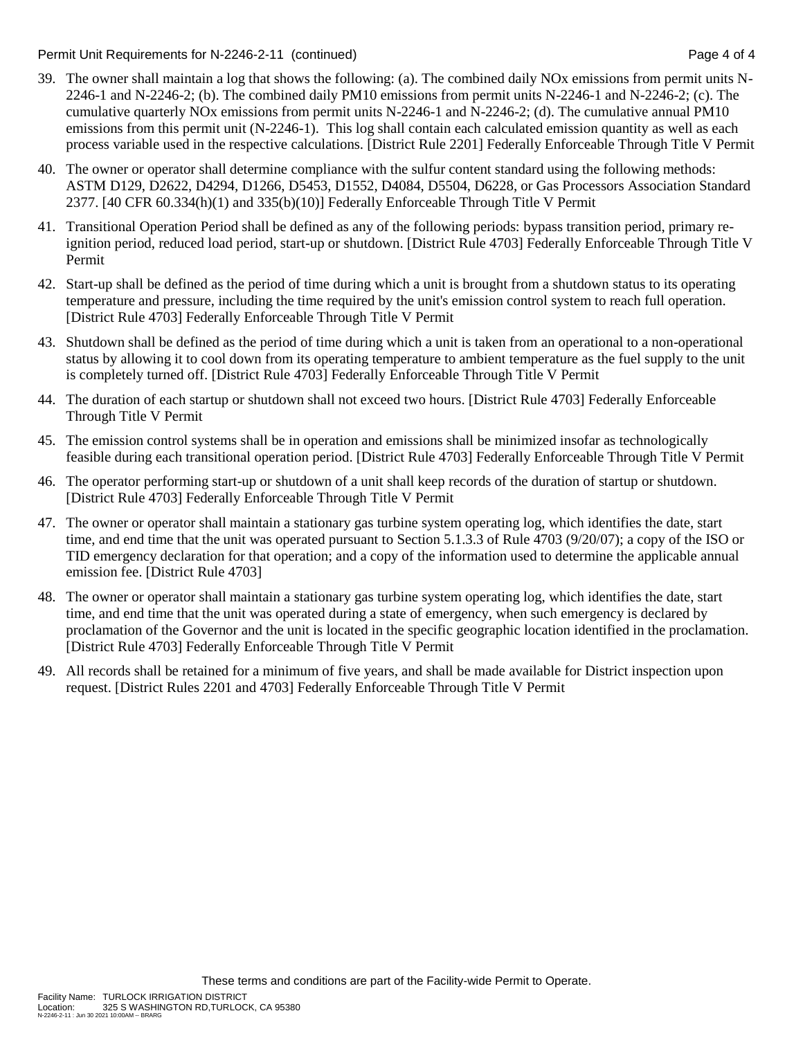Permit Unit Requirements for N-2246-2-11 (continued) example 2 and the state of 4 state 4 of 4

- 39. The owner shall maintain a log that shows the following: (a). The combined daily NOx emissions from permit units N-2246-1 and N-2246-2; (b). The combined daily PM10 emissions from permit units N-2246-1 and N-2246-2; (c). The cumulative quarterly NOx emissions from permit units N-2246-1 and N-2246-2; (d). The cumulative annual PM10 emissions from this permit unit (N-2246-1). This log shall contain each calculated emission quantity as well as each process variable used in the respective calculations. [District Rule 2201] Federally Enforceable Through Title V Permit
- 40. The owner or operator shall determine compliance with the sulfur content standard using the following methods: ASTM D129, D2622, D4294, D1266, D5453, D1552, D4084, D5504, D6228, or Gas Processors Association Standard 2377. [40 CFR 60.334(h)(1) and 335(b)(10)] Federally Enforceable Through Title V Permit
- 41. Transitional Operation Period shall be defined as any of the following periods: bypass transition period, primary reignition period, reduced load period, start-up or shutdown. [District Rule 4703] Federally Enforceable Through Title V Permit
- 42. Start-up shall be defined as the period of time during which a unit is brought from a shutdown status to its operating temperature and pressure, including the time required by the unit's emission control system to reach full operation. [District Rule 4703] Federally Enforceable Through Title V Permit
- 43. Shutdown shall be defined as the period of time during which a unit is taken from an operational to a non-operational status by allowing it to cool down from its operating temperature to ambient temperature as the fuel supply to the unit is completely turned off. [District Rule 4703] Federally Enforceable Through Title V Permit
- 44. The duration of each startup or shutdown shall not exceed two hours. [District Rule 4703] Federally Enforceable Through Title V Permit
- 45. The emission control systems shall be in operation and emissions shall be minimized insofar as technologically feasible during each transitional operation period. [District Rule 4703] Federally Enforceable Through Title V Permit
- 46. The operator performing start-up or shutdown of a unit shall keep records of the duration of startup or shutdown. [District Rule 4703] Federally Enforceable Through Title V Permit
- 47. The owner or operator shall maintain a stationary gas turbine system operating log, which identifies the date, start time, and end time that the unit was operated pursuant to Section 5.1.3.3 of Rule 4703 (9/20/07); a copy of the ISO or TID emergency declaration for that operation; and a copy of the information used to determine the applicable annual emission fee. [District Rule 4703]
- 48. The owner or operator shall maintain a stationary gas turbine system operating log, which identifies the date, start time, and end time that the unit was operated during a state of emergency, when such emergency is declared by proclamation of the Governor and the unit is located in the specific geographic location identified in the proclamation. [District Rule 4703] Federally Enforceable Through Title V Permit
- 49. All records shall be retained for a minimum of five years, and shall be made available for District inspection upon request. [District Rules 2201 and 4703] Federally Enforceable Through Title V Permit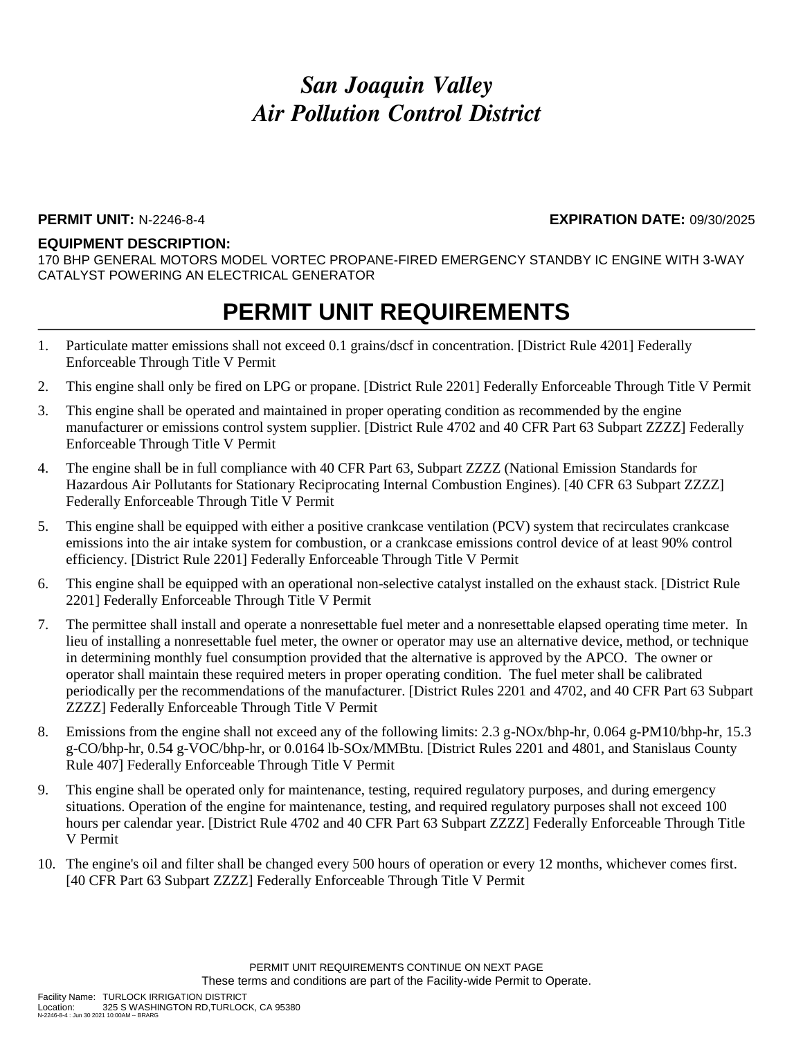#### **PERMIT UNIT:** N-2246-8-4 **EXPIRATION DATE:** 09/30/2025

#### **EQUIPMENT DESCRIPTION:**

170 BHP GENERAL MOTORS MODEL VORTEC PROPANE-FIRED EMERGENCY STANDBY IC ENGINE WITH 3-WAY CATALYST POWERING AN ELECTRICAL GENERATOR

### **PERMIT UNIT REQUIREMENTS**

- 1. Particulate matter emissions shall not exceed 0.1 grains/dscf in concentration. [District Rule 4201] Federally Enforceable Through Title V Permit
- 2. This engine shall only be fired on LPG or propane. [District Rule 2201] Federally Enforceable Through Title V Permit
- 3. This engine shall be operated and maintained in proper operating condition as recommended by the engine manufacturer or emissions control system supplier. [District Rule 4702 and 40 CFR Part 63 Subpart ZZZZ] Federally Enforceable Through Title V Permit
- 4. The engine shall be in full compliance with 40 CFR Part 63, Subpart ZZZZ (National Emission Standards for Hazardous Air Pollutants for Stationary Reciprocating Internal Combustion Engines). [40 CFR 63 Subpart ZZZZ] Federally Enforceable Through Title V Permit
- 5. This engine shall be equipped with either a positive crankcase ventilation (PCV) system that recirculates crankcase emissions into the air intake system for combustion, or a crankcase emissions control device of at least 90% control efficiency. [District Rule 2201] Federally Enforceable Through Title V Permit
- 6. This engine shall be equipped with an operational non-selective catalyst installed on the exhaust stack. [District Rule 2201] Federally Enforceable Through Title V Permit
- 7. The permittee shall install and operate a nonresettable fuel meter and a nonresettable elapsed operating time meter. In lieu of installing a nonresettable fuel meter, the owner or operator may use an alternative device, method, or technique in determining monthly fuel consumption provided that the alternative is approved by the APCO. The owner or operator shall maintain these required meters in proper operating condition. The fuel meter shall be calibrated periodically per the recommendations of the manufacturer. [District Rules 2201 and 4702, and 40 CFR Part 63 Subpart ZZZZ] Federally Enforceable Through Title V Permit
- 8. Emissions from the engine shall not exceed any of the following limits: 2.3 g-NOx/bhp-hr, 0.064 g-PM10/bhp-hr, 15.3 g-CO/bhp-hr, 0.54 g-VOC/bhp-hr, or 0.0164 lb-SOx/MMBtu. [District Rules 2201 and 4801, and Stanislaus County Rule 407] Federally Enforceable Through Title V Permit
- 9. This engine shall be operated only for maintenance, testing, required regulatory purposes, and during emergency situations. Operation of the engine for maintenance, testing, and required regulatory purposes shall not exceed 100 hours per calendar year. [District Rule 4702 and 40 CFR Part 63 Subpart ZZZZ] Federally Enforceable Through Title V Permit
- 10. The engine's oil and filter shall be changed every 500 hours of operation or every 12 months, whichever comes first. [40 CFR Part 63 Subpart ZZZZ] Federally Enforceable Through Title V Permit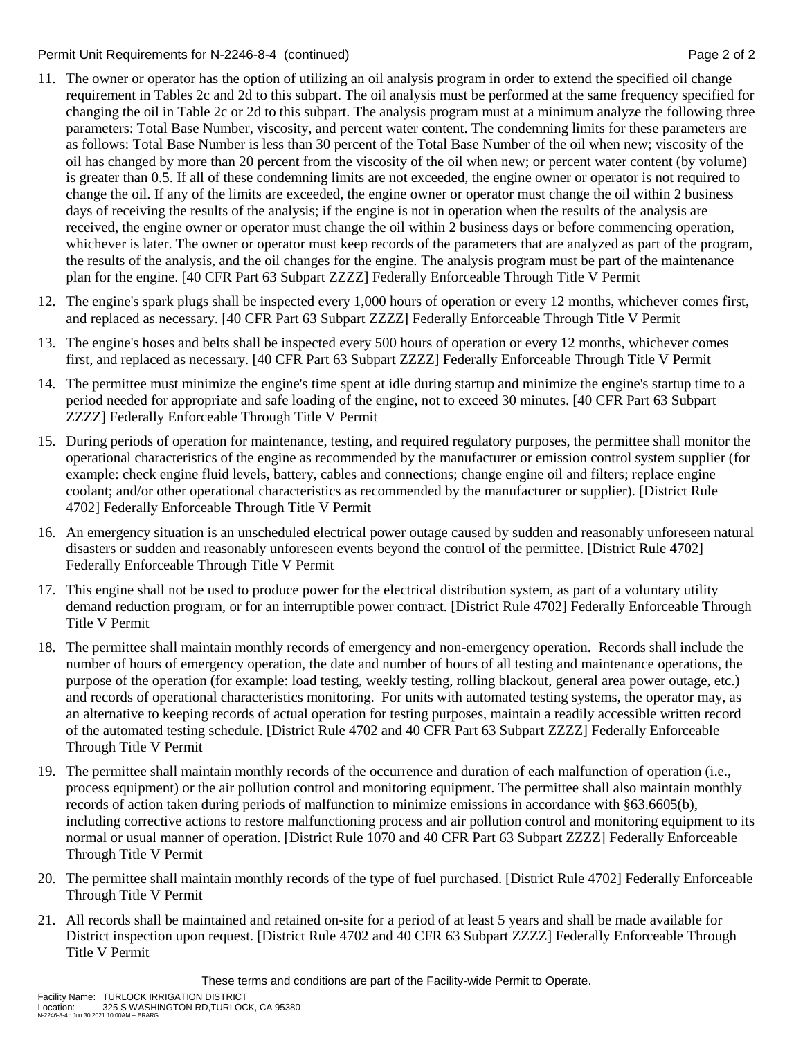Permit Unit Requirements for N-2246-8-4 (continued) **Page 2** of 2

- 11. The owner or operator has the option of utilizing an oil analysis program in order to extend the specified oil change requirement in Tables 2c and 2d to this subpart. The oil analysis must be performed at the same frequency specified for changing the oil in Table 2c or 2d to this subpart. The analysis program must at a minimum analyze the following three parameters: Total Base Number, viscosity, and percent water content. The condemning limits for these parameters are as follows: Total Base Number is less than 30 percent of the Total Base Number of the oil when new; viscosity of the oil has changed by more than 20 percent from the viscosity of the oil when new; or percent water content (by volume) is greater than 0.5. If all of these condemning limits are not exceeded, the engine owner or operator is not required to change the oil. If any of the limits are exceeded, the engine owner or operator must change the oil within 2 business days of receiving the results of the analysis; if the engine is not in operation when the results of the analysis are received, the engine owner or operator must change the oil within 2 business days or before commencing operation, whichever is later. The owner or operator must keep records of the parameters that are analyzed as part of the program, the results of the analysis, and the oil changes for the engine. The analysis program must be part of the maintenance plan for the engine. [40 CFR Part 63 Subpart ZZZZ] Federally Enforceable Through Title V Permit
- 12. The engine's spark plugs shall be inspected every 1,000 hours of operation or every 12 months, whichever comes first, and replaced as necessary. [40 CFR Part 63 Subpart ZZZZ] Federally Enforceable Through Title V Permit
- 13. The engine's hoses and belts shall be inspected every 500 hours of operation or every 12 months, whichever comes first, and replaced as necessary. [40 CFR Part 63 Subpart ZZZZ] Federally Enforceable Through Title V Permit
- 14. The permittee must minimize the engine's time spent at idle during startup and minimize the engine's startup time to a period needed for appropriate and safe loading of the engine, not to exceed 30 minutes. [40 CFR Part 63 Subpart ZZZZ] Federally Enforceable Through Title V Permit
- 15. During periods of operation for maintenance, testing, and required regulatory purposes, the permittee shall monitor the operational characteristics of the engine as recommended by the manufacturer or emission control system supplier (for example: check engine fluid levels, battery, cables and connections; change engine oil and filters; replace engine coolant; and/or other operational characteristics as recommended by the manufacturer or supplier). [District Rule 4702] Federally Enforceable Through Title V Permit
- 16. An emergency situation is an unscheduled electrical power outage caused by sudden and reasonably unforeseen natural disasters or sudden and reasonably unforeseen events beyond the control of the permittee. [District Rule 4702] Federally Enforceable Through Title V Permit
- 17. This engine shall not be used to produce power for the electrical distribution system, as part of a voluntary utility demand reduction program, or for an interruptible power contract. [District Rule 4702] Federally Enforceable Through Title V Permit
- 18. The permittee shall maintain monthly records of emergency and non-emergency operation. Records shall include the number of hours of emergency operation, the date and number of hours of all testing and maintenance operations, the purpose of the operation (for example: load testing, weekly testing, rolling blackout, general area power outage, etc.) and records of operational characteristics monitoring. For units with automated testing systems, the operator may, as an alternative to keeping records of actual operation for testing purposes, maintain a readily accessible written record of the automated testing schedule. [District Rule 4702 and 40 CFR Part 63 Subpart ZZZZ] Federally Enforceable Through Title V Permit
- 19. The permittee shall maintain monthly records of the occurrence and duration of each malfunction of operation (i.e., process equipment) or the air pollution control and monitoring equipment. The permittee shall also maintain monthly records of action taken during periods of malfunction to minimize emissions in accordance with §63.6605(b), including corrective actions to restore malfunctioning process and air pollution control and monitoring equipment to its normal or usual manner of operation. [District Rule 1070 and 40 CFR Part 63 Subpart ZZZZ] Federally Enforceable Through Title V Permit
- 20. The permittee shall maintain monthly records of the type of fuel purchased. [District Rule 4702] Federally Enforceable Through Title V Permit
- 21. All records shall be maintained and retained on-site for a period of at least 5 years and shall be made available for District inspection upon request. [District Rule 4702 and 40 CFR 63 Subpart ZZZZ] Federally Enforceable Through Title V Permit

These terms and conditions are part of the Facility-wide Permit to Operate.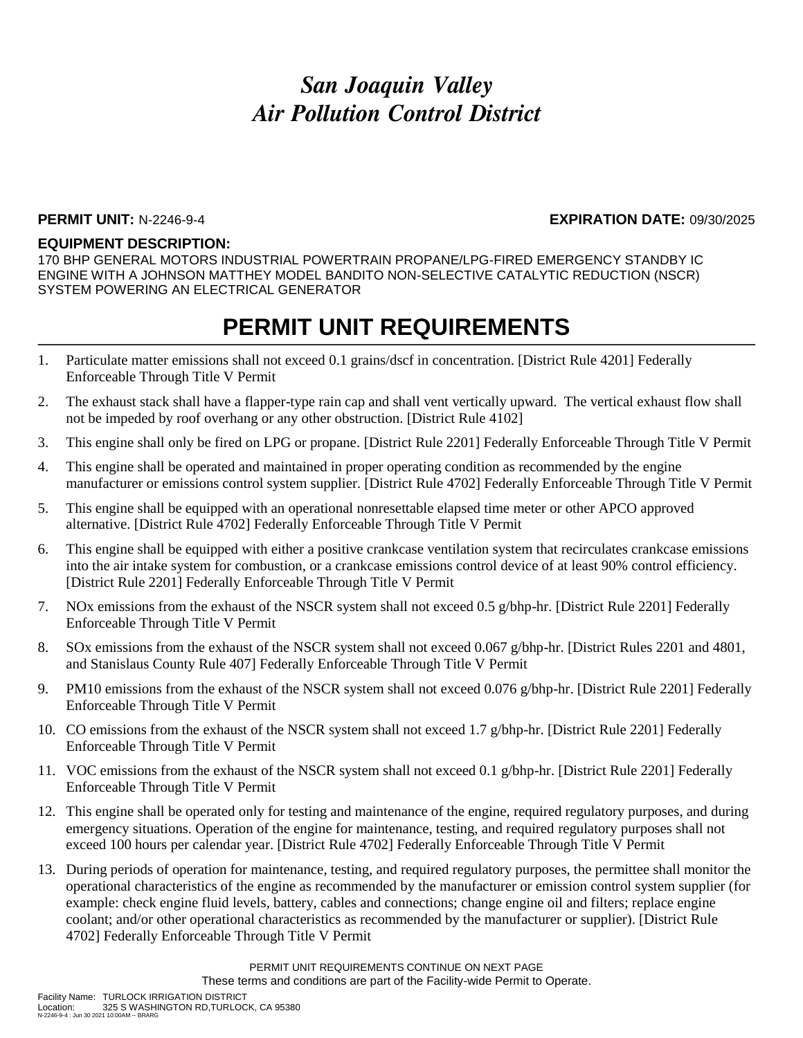#### **PERMIT UNIT:** N-2246-9-4 **EXPIRATION DATE:** 09/30/2025

#### **EQUIPMENT DESCRIPTION:**

170 BHP GENERAL MOTORS INDUSTRIAL POWERTRAIN PROPANE/LPG-FIRED EMERGENCY STANDBY IC ENGINE WITH A JOHNSON MATTHEY MODEL BANDITO NON-SELECTIVE CATALYTIC REDUCTION (NSCR) SYSTEM POWERING AN ELECTRICAL GENERATOR

### **PERMIT UNIT REQUIREMENTS**

- 1. Particulate matter emissions shall not exceed 0.1 grains/dscf in concentration. [District Rule 4201] Federally Enforceable Through Title V Permit
- 2. The exhaust stack shall have a flapper-type rain cap and shall vent vertically upward. The vertical exhaust flow shall not be impeded by roof overhang or any other obstruction. [District Rule 4102]
- 3. This engine shall only be fired on LPG or propane. [District Rule 2201] Federally Enforceable Through Title V Permit
- 4. This engine shall be operated and maintained in proper operating condition as recommended by the engine manufacturer or emissions control system supplier. [District Rule 4702] Federally Enforceable Through Title V Permit
- 5. This engine shall be equipped with an operational nonresettable elapsed time meter or other APCO approved alternative. [District Rule 4702] Federally Enforceable Through Title V Permit
- 6. This engine shall be equipped with either a positive crankcase ventilation system that recirculates crankcase emissions into the air intake system for combustion, or a crankcase emissions control device of at least 90% control efficiency. [District Rule 2201] Federally Enforceable Through Title V Permit
- 7. NOx emissions from the exhaust of the NSCR system shall not exceed 0.5 g/bhp-hr. [District Rule 2201] Federally Enforceable Through Title V Permit
- 8. SOx emissions from the exhaust of the NSCR system shall not exceed 0.067 g/bhp-hr. [District Rules 2201 and 4801, and Stanislaus County Rule 407] Federally Enforceable Through Title V Permit
- 9. PM10 emissions from the exhaust of the NSCR system shall not exceed 0.076 g/bhp-hr. [District Rule 2201] Federally Enforceable Through Title V Permit
- 10. CO emissions from the exhaust of the NSCR system shall not exceed 1.7 g/bhp-hr. [District Rule 2201] Federally Enforceable Through Title V Permit
- 11. VOC emissions from the exhaust of the NSCR system shall not exceed 0.1 g/bhp-hr. [District Rule 2201] Federally Enforceable Through Title V Permit
- 12. This engine shall be operated only for testing and maintenance of the engine, required regulatory purposes, and during emergency situations. Operation of the engine for maintenance, testing, and required regulatory purposes shall not exceed 100 hours per calendar year. [District Rule 4702] Federally Enforceable Through Title V Permit
- 13. During periods of operation for maintenance, testing, and required regulatory purposes, the permittee shall monitor the operational characteristics of the engine as recommended by the manufacturer or emission control system supplier (for example: check engine fluid levels, battery, cables and connections; change engine oil and filters; replace engine coolant; and/or other operational characteristics as recommended by the manufacturer or supplier). [District Rule 4702] Federally Enforceable Through Title V Permit